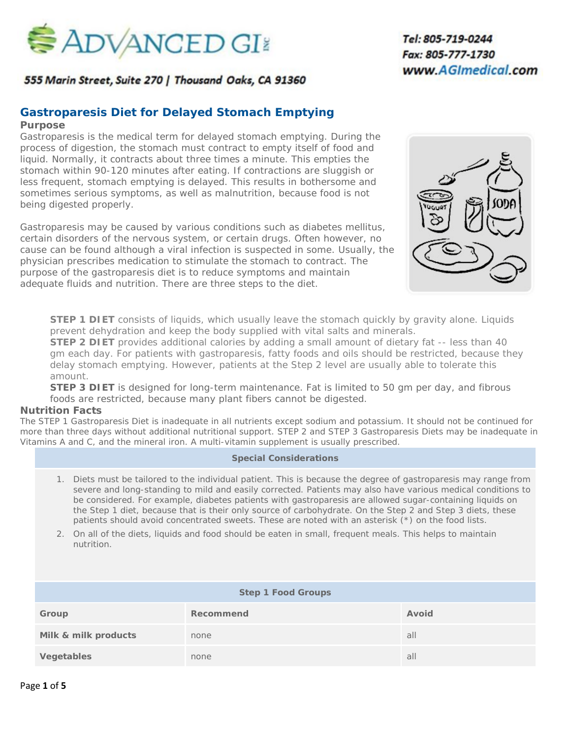

555 Marin Street, Suite 270 | Thousand Oaks, CA 91360

## **Gastroparesis Diet for Delayed Stomach Emptying**

#### **Purpose**

Gastroparesis is the medical term for delayed stomach emptying. During the process of digestion, the stomach must contract to empty itself of food and liquid. Normally, it contracts about three times a minute. This empties the stomach within 90-120 minutes after eating. If contractions are sluggish or less frequent, stomach emptying is delayed. This results in bothersome and sometimes serious symptoms, as well as malnutrition, because food is not being digested properly.

Gastroparesis may be caused by various conditions such as diabetes mellitus, certain disorders of the nervous system, or certain drugs. Often however, no cause can be found although a viral infection is suspected in some. Usually, the physician prescribes medication to stimulate the stomach to contract. The purpose of the gastroparesis diet is to reduce symptoms and maintain adequate fluids and nutrition. There are three steps to the diet.



**STEP 1 DIET** consists of liquids, which usually leave the stomach quickly by gravity alone. Liquids prevent dehydration and keep the body supplied with vital salts and minerals.

**STEP 2 DIET** provides additional calories by adding a small amount of dietary fat -- less than 40 gm each day. For patients with gastroparesis, fatty foods and oils should be restricted, because they delay stomach emptying. However, patients at the Step 2 level are usually able to tolerate this amount.

**STEP 3 DIET** is designed for long-term maintenance. Fat is limited to 50 gm per day, and fibrous foods are restricted, because many plant fibers cannot be digested.

#### **Nutrition Facts**

The STEP 1 Gastroparesis Diet is inadequate in all nutrients except sodium and potassium. It should not be continued for more than three days without additional nutritional support. STEP 2 and STEP 3 Gastroparesis Diets may be inadequate in Vitamins A and C, and the mineral iron. A multi-vitamin supplement is usually prescribed.

#### **Special Considerations**

- 1. Diets must be tailored to the individual patient. This is because the degree of gastroparesis may range from severe and long-standing to mild and easily corrected. Patients may also have various medical conditions to be considered. For example, diabetes patients with gastroparesis are allowed sugar-containing liquids on the Step 1 diet, because that is their only source of carbohydrate. On the Step 2 and Step 3 diets, these patients should avoid concentrated sweets. These are noted with an asterisk (\*) on the food lists.
- 2. On all of the diets, liquids and food should be eaten in small, frequent meals. This helps to maintain nutrition.

| <b>Step 1 Food Groups</b> |           |       |  |
|---------------------------|-----------|-------|--|
| Group                     | Recommend | Avoid |  |
| Milk & milk products      | none      | all   |  |
| Vegetables                | none      | all   |  |

# *2220 Lynn Road, Suite 303 Thousand Oaks, CA 91360 Tel: 805-719-0244 Fax: 805-777-1730 www.AGImedical.com*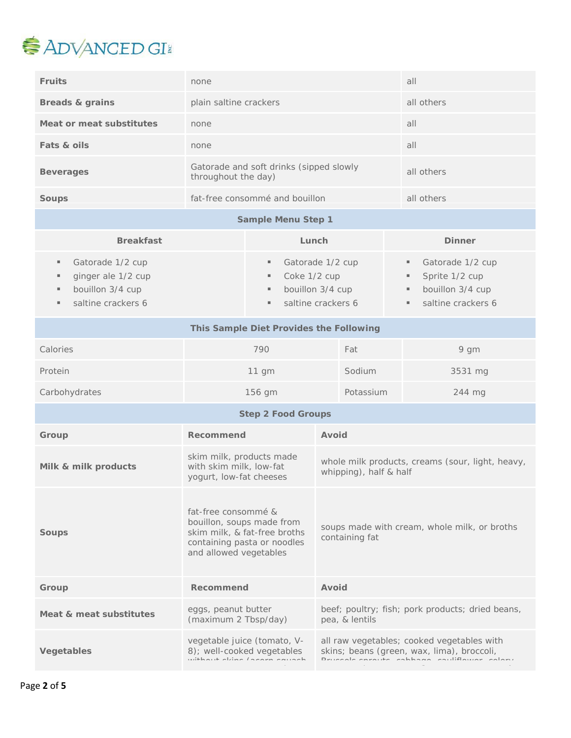

| <b>Fruits</b>                                                                                        | none                                                                                                                                      |                                                                | all                                                                                                                                       |
|------------------------------------------------------------------------------------------------------|-------------------------------------------------------------------------------------------------------------------------------------------|----------------------------------------------------------------|-------------------------------------------------------------------------------------------------------------------------------------------|
| <b>Breads &amp; grains</b>                                                                           | plain saltine crackers                                                                                                                    |                                                                | all others                                                                                                                                |
| Meat or meat substitutes                                                                             | none                                                                                                                                      |                                                                |                                                                                                                                           |
| Fats & oils                                                                                          | none                                                                                                                                      |                                                                | all                                                                                                                                       |
| <b>Beverages</b>                                                                                     | Gatorade and soft drinks (sipped slowly<br>throughout the day)                                                                            |                                                                | all others                                                                                                                                |
| <b>Soups</b>                                                                                         | fat-free consommé and bouillon                                                                                                            |                                                                | all others                                                                                                                                |
|                                                                                                      | <b>Sample Menu Step 1</b>                                                                                                                 |                                                                |                                                                                                                                           |
| <b>Breakfast</b>                                                                                     |                                                                                                                                           | Lunch                                                          | <b>Dinner</b>                                                                                                                             |
| Gatorade 1/2 cup<br>ш<br>ginger ale 1/2 cup<br>ш<br>bouillon 3/4 cup<br>ш<br>saltine crackers 6<br>ш | Gatorade 1/2 cup<br>٠<br>Coke 1/2 cup<br>н.<br>bouillon 3/4 cup<br>۰.<br>saltine crackers 6<br>$\blacksquare$                             |                                                                | Gatorade 1/2 cup<br>٠<br>Sprite 1/2 cup<br>bouillon 3/4 cup<br>٠<br>saltine crackers 6<br>۰.                                              |
| This Sample Diet Provides the Following                                                              |                                                                                                                                           |                                                                |                                                                                                                                           |
| Calories                                                                                             | 790                                                                                                                                       | Fat                                                            | 9 gm                                                                                                                                      |
| Protein                                                                                              | Sodium<br>11 gm                                                                                                                           |                                                                | 3531 mg                                                                                                                                   |
| Carbohydrates                                                                                        | Potassium<br>156 gm                                                                                                                       |                                                                | 244 mg                                                                                                                                    |
|                                                                                                      | <b>Step 2 Food Groups</b>                                                                                                                 |                                                                |                                                                                                                                           |
| Group                                                                                                | Recommend                                                                                                                                 | Avoid                                                          |                                                                                                                                           |
| Milk & milk products                                                                                 | skim milk, products made<br>with skim milk, low-fat<br>yogurt, low-fat cheeses                                                            | whipping), half & half                                         | whole milk products, creams (sour, light, heavy,                                                                                          |
| <b>Soups</b>                                                                                         | fat-free consommé &<br>bouillon, soups made from<br>skim milk, & fat-free broths<br>containing pasta or noodles<br>and allowed vegetables | soups made with cream, whole milk, or broths<br>containing fat |                                                                                                                                           |
| Group                                                                                                | Recommend                                                                                                                                 | Avoid                                                          |                                                                                                                                           |
| Meat & meat substitutes                                                                              | eggs, peanut butter<br>(maximum 2 Tbsp/day)                                                                                               | pea, & lentils                                                 | beef; poultry; fish; pork products; dried beans,                                                                                          |
| Vegetables                                                                                           | vegetable juice (tomato, V-<br>8); well-cooked vegetables<br>with and abliant france company                                              |                                                                | all raw vegetables; cooked vegetables with<br>skins; beans (green, wax, lima), broccoli,<br>Deugaala annouko pahhaana pouliflouran palamu |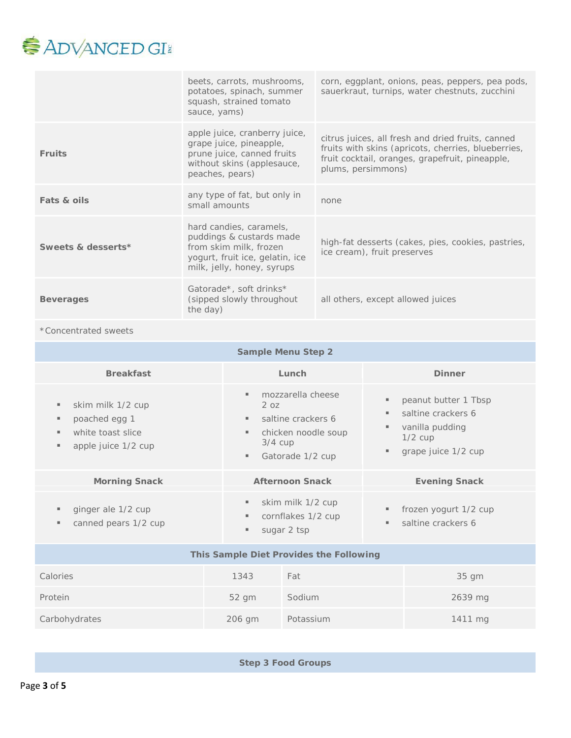

|                    | beets, carrots, mushrooms,<br>potatoes, spinach, summer<br>squash, strained tomato<br>sauce, yams)                                             | corn, eggplant, onions, peas, peppers, pea pods,<br>sauerkraut, turnips, water chestnuts, zucchini                                                                                |
|--------------------|------------------------------------------------------------------------------------------------------------------------------------------------|-----------------------------------------------------------------------------------------------------------------------------------------------------------------------------------|
| <b>Fruits</b>      | apple juice, cranberry juice,<br>grape juice, pineapple,<br>prune juice, canned fruits<br>without skins (applesauce,<br>peaches, pears)        | citrus juices, all fresh and dried fruits, canned<br>fruits with skins (apricots, cherries, blueberries,<br>fruit cocktail, oranges, grapefruit, pineapple,<br>plums, persimmons) |
| Fats & oils        | any type of fat, but only in<br>small amounts                                                                                                  | none                                                                                                                                                                              |
| Sweets & desserts* | hard candies, caramels,<br>puddings & custards made<br>from skim milk, frozen<br>yogurt, fruit ice, gelatin, ice<br>milk, jelly, honey, syrups | high-fat desserts (cakes, pies, cookies, pastries,<br>ice cream), fruit preserves                                                                                                 |
| <b>Beverages</b>   | Gatorade*, soft drinks*<br>(sipped slowly throughout)<br>the day)                                                                              | all others, except allowed juices                                                                                                                                                 |

### \*Concentrated sweets

| <b>Sample Menu Step 2</b>                                                                |                                                                                                                                                      |                                                                                                         |  |
|------------------------------------------------------------------------------------------|------------------------------------------------------------------------------------------------------------------------------------------------------|---------------------------------------------------------------------------------------------------------|--|
| <b>Breakfast</b>                                                                         | Lunch                                                                                                                                                | <b>Dinner</b>                                                                                           |  |
| skim milk 1/2 cup<br>ш<br>poached egg 1<br>white toast slice<br>٠<br>apple juice 1/2 cup | mozzarella cheese<br>ш.<br>2 oz<br>saltine crackers 6<br>$\mathbf{u}$<br>chicken noodle soup<br>٠<br>$3/4$ cup<br>Gatorade 1/2 cup<br>$\blacksquare$ | peanut butter 1 Tbsp<br>saltine crackers 6<br>vanilla pudding<br>$1/2$ cup<br>grape juice 1/2 cup<br>л. |  |
| <b>Morning Snack</b>                                                                     | <b>Afternoon Snack</b>                                                                                                                               | <b>Evening Snack</b>                                                                                    |  |
| ginger ale 1/2 cup<br>٠<br>canned pears 1/2 cup<br>ш                                     | skim milk 1/2 cup<br>٠<br>cornflakes 1/2 cup<br>sugar 2 tsp                                                                                          | frozen yogurt 1/2 cup<br>saltine crackers 6                                                             |  |
| This Sample Diet Provides the Following                                                  |                                                                                                                                                      |                                                                                                         |  |
| Calories                                                                                 | Fat<br>1343                                                                                                                                          | $35$ qm                                                                                                 |  |
| Protein                                                                                  | Sodium<br>52 gm                                                                                                                                      | 2639 mg                                                                                                 |  |
| Carbohydrates                                                                            | Potassium<br>206 gm                                                                                                                                  | 1411 mg                                                                                                 |  |
|                                                                                          |                                                                                                                                                      |                                                                                                         |  |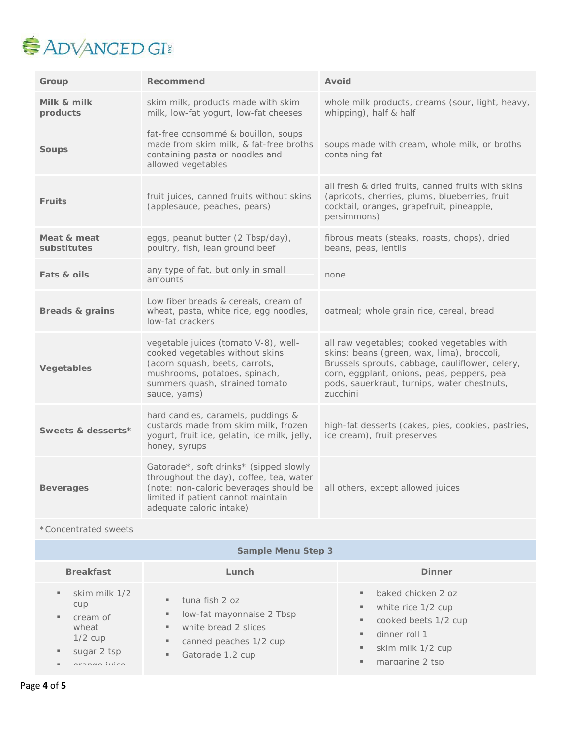

| Group                      | Recommend                                                                                                                                                                                     | Avoid                                                                                                                                                                                                                                                |
|----------------------------|-----------------------------------------------------------------------------------------------------------------------------------------------------------------------------------------------|------------------------------------------------------------------------------------------------------------------------------------------------------------------------------------------------------------------------------------------------------|
| Milk & milk<br>products    | skim milk, products made with skim<br>milk, low-fat yogurt, low-fat cheeses                                                                                                                   | whole milk products, creams (sour, light, heavy,<br>whipping), half & half                                                                                                                                                                           |
| <b>Soups</b>               | fat-free consommé & bouillon, soups<br>made from skim milk, & fat-free broths<br>containing pasta or noodles and<br>allowed vegetables                                                        | soups made with cream, whole milk, or broths<br>containing fat                                                                                                                                                                                       |
| <b>Fruits</b>              | fruit juices, canned fruits without skins<br>(applesauce, peaches, pears)                                                                                                                     | all fresh & dried fruits, canned fruits with skins<br>(apricots, cherries, plums, blueberries, fruit<br>cocktail, oranges, grapefruit, pineapple,<br>persimmons)                                                                                     |
| Meat & meat<br>substitutes | eggs, peanut butter (2 Tbsp/day),<br>poultry, fish, lean ground beef                                                                                                                          | fibrous meats (steaks, roasts, chops), dried<br>beans, peas, lentils                                                                                                                                                                                 |
| Fats & oils                | any type of fat, but only in small<br>amounts                                                                                                                                                 | none                                                                                                                                                                                                                                                 |
| Breads & grains            | Low fiber breads & cereals, cream of<br>wheat, pasta, white rice, egg noodles,<br>low-fat crackers                                                                                            | oatmeal; whole grain rice, cereal, bread                                                                                                                                                                                                             |
| <b>Vegetables</b>          | vegetable juices (tomato V-8), well-<br>cooked vegetables without skins<br>(acorn squash, beets, carrots,<br>mushrooms, potatoes, spinach,<br>summers quash, strained tomato<br>sauce, yams)  | all raw vegetables; cooked vegetables with<br>skins: beans (green, wax, lima), broccoli,<br>Brussels sprouts, cabbage, cauliflower, celery,<br>corn, eggplant, onions, peas, peppers, pea<br>pods, sauerkraut, turnips, water chestnuts,<br>zucchini |
| Sweets & desserts*         | hard candies, caramels, puddings &<br>custards made from skim milk, frozen<br>yogurt, fruit ice, gelatin, ice milk, jelly,<br>honey, syrups                                                   | high-fat desserts (cakes, pies, cookies, pastries,<br>ice cream), fruit preserves                                                                                                                                                                    |
| <b>Beverages</b>           | Gatorade*, soft drinks* (sipped slowly<br>throughout the day), coffee, tea, water<br>(note: non-caloric beverages should be<br>limited if patient cannot maintain<br>adequate caloric intake) | all others, except allowed juices                                                                                                                                                                                                                    |
| *Concentrated sweets       |                                                                                                                                                                                               |                                                                                                                                                                                                                                                      |
| <b>Sample Menu Step 3</b>  |                                                                                                                                                                                               |                                                                                                                                                                                                                                                      |

| <b>Breakfast</b>                                                                       | Lunch                                                                                                                                      | <b>Dinner</b>                                                                                                                                                             |
|----------------------------------------------------------------------------------------|--------------------------------------------------------------------------------------------------------------------------------------------|---------------------------------------------------------------------------------------------------------------------------------------------------------------------------|
| skim milk 1/2<br>cup<br>cream of<br>wheat<br>$1/2$ cup<br>sugar 2 tsp<br>ananana lidan | tuna fish 2 oz<br>ш<br>low-fat mayonnaise 2 Tbsp<br>٠<br>white bread 2 slices<br>ш<br>canned peaches 1/2 cup<br>ш<br>Gatorade 1.2 cup<br>ш | baked chicken 2 oz<br>$\blacksquare$<br>white rice 1/2 cup<br>н.<br>cooked beets 1/2 cup<br>н.<br>dinner roll 1<br>ш.<br>skim milk 1/2 cup<br>۰.<br>margarine 2 tsp<br>ш. |